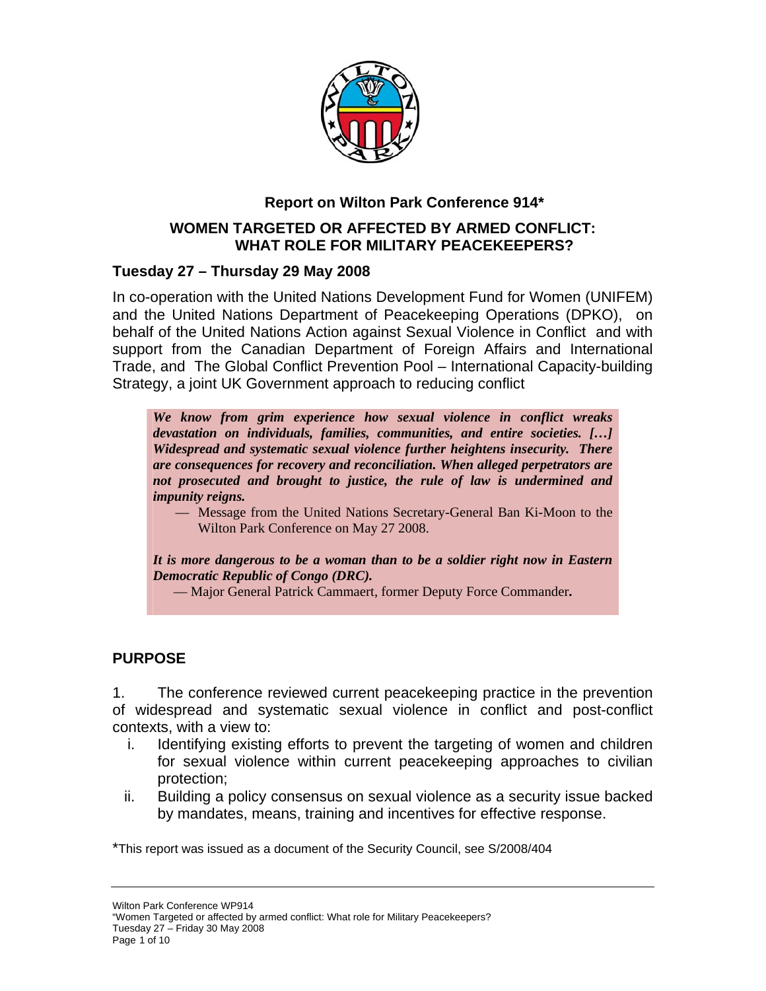

### **Report on Wilton Park Conference 914\***

#### **WOMEN TARGETED OR AFFECTED BY ARMED CONFLICT: WHAT ROLE FOR MILITARY PEACEKEEPERS?**

#### **Tuesday 27 – Thursday 29 May 2008**

In co-operation with the United Nations Development Fund for Women (UNIFEM) and the United Nations Department of Peacekeeping Operations (DPKO), on behalf of the United Nations Action against Sexual Violence in Conflict and with support from the Canadian Department of Foreign Affairs and International Trade, and The Global Conflict Prevention Pool – International Capacity-building Strategy, a joint UK Government approach to reducing conflict

*We know from grim experience how sexual violence in conflict wreaks devastation on individuals, families, communities, and entire societies. […] Widespread and systematic sexual violence further heightens insecurity. There are consequences for recovery and reconciliation. When alleged perpetrators are not prosecuted and brought to justice, the rule of law is undermined and impunity reigns.* 

— Message from the United Nations Secretary-General Ban Ki-Moon to the Wilton Park Conference on May 27 2008.

*It is more dangerous to be a woman than to be a soldier right now in Eastern Democratic Republic of Congo (DRC).* 

— Major General Patrick Cammaert, former Deputy Force Commander**.** 

#### **PURPOSE**

1. The conference reviewed current peacekeeping practice in the prevention of widespread and systematic sexual violence in conflict and post-conflict contexts, with a view to:

- i. Identifying existing efforts to prevent the targeting of women and children for sexual violence within current peacekeeping approaches to civilian protection;
- ii. Building a policy consensus on sexual violence as a security issue backed by mandates, means, training and incentives for effective response.

\*This report was issued as a document of the Security Council, see S/2008/404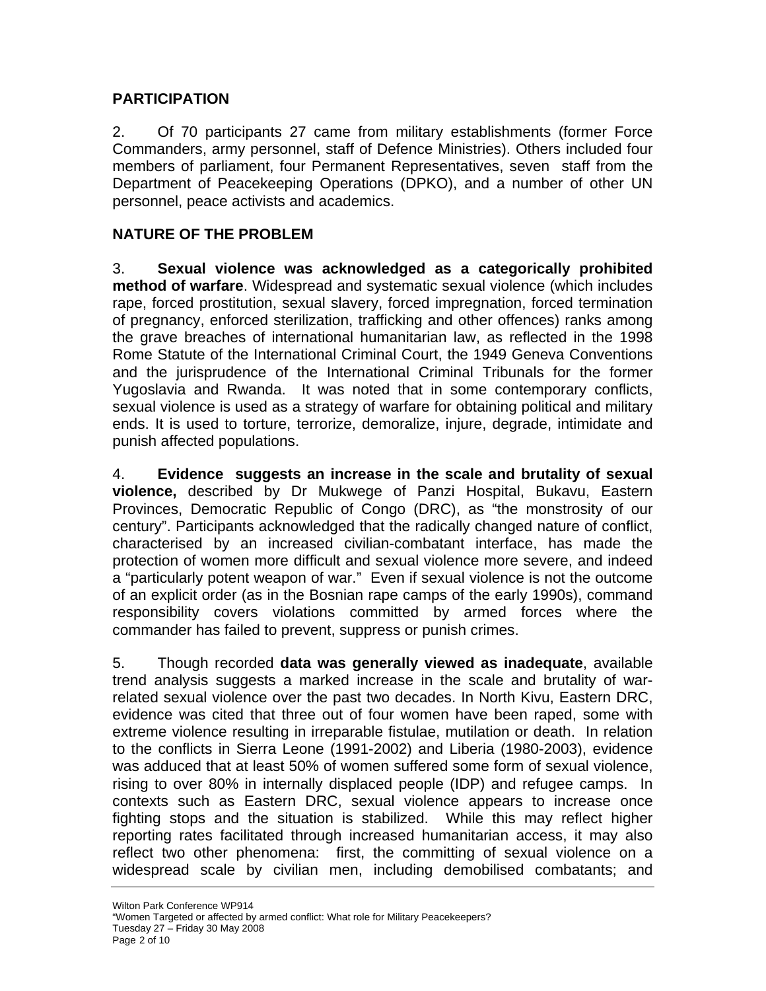### **PARTICIPATION**

2. Of 70 participants 27 came from military establishments (former Force Commanders, army personnel, staff of Defence Ministries). Others included four members of parliament, four Permanent Representatives, seven staff from the Department of Peacekeeping Operations (DPKO), and a number of other UN personnel, peace activists and academics.

# **NATURE OF THE PROBLEM**

3. **Sexual violence was acknowledged as a categorically prohibited method of warfare**. Widespread and systematic sexual violence (which includes rape, forced prostitution, sexual slavery, forced impregnation, forced termination of pregnancy, enforced sterilization, trafficking and other offences) ranks among the grave breaches of international humanitarian law, as reflected in the 1998 Rome Statute of the International Criminal Court, the 1949 Geneva Conventions and the jurisprudence of the International Criminal Tribunals for the former Yugoslavia and Rwanda. It was noted that in some contemporary conflicts, sexual violence is used as a strategy of warfare for obtaining political and military ends. It is used to torture, terrorize, demoralize, injure, degrade, intimidate and punish affected populations.

4. **Evidence suggests an increase in the scale and brutality of sexual violence,** described by Dr Mukwege of Panzi Hospital, Bukavu, Eastern Provinces, Democratic Republic of Congo (DRC), as "the monstrosity of our century". Participants acknowledged that the radically changed nature of conflict, characterised by an increased civilian-combatant interface, has made the protection of women more difficult and sexual violence more severe, and indeed a "particularly potent weapon of war." Even if sexual violence is not the outcome of an explicit order (as in the Bosnian rape camps of the early 1990s), command responsibility covers violations committed by armed forces where the commander has failed to prevent, suppress or punish crimes.

5. Though recorded **data was generally viewed as inadequate**, available trend analysis suggests a marked increase in the scale and brutality of warrelated sexual violence over the past two decades. In North Kivu, Eastern DRC, evidence was cited that three out of four women have been raped, some with extreme violence resulting in irreparable fistulae, mutilation or death. In relation to the conflicts in Sierra Leone (1991-2002) and Liberia (1980-2003), evidence was adduced that at least 50% of women suffered some form of sexual violence, rising to over 80% in internally displaced people (IDP) and refugee camps. In contexts such as Eastern DRC, sexual violence appears to increase once fighting stops and the situation is stabilized. While this may reflect higher reporting rates facilitated through increased humanitarian access, it may also reflect two other phenomena: first, the committing of sexual violence on a widespread scale by civilian men, including demobilised combatants; and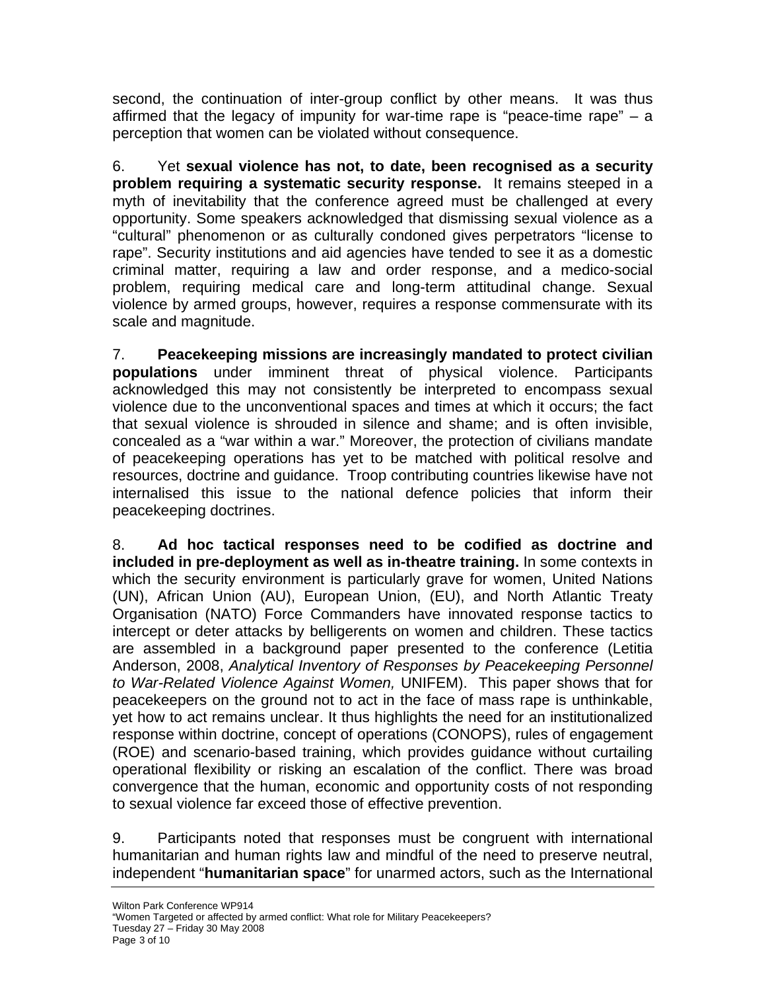second, the continuation of inter-group conflict by other means. It was thus affirmed that the legacy of impunity for war-time rape is "peace-time rape" – a perception that women can be violated without consequence.

6. Yet **sexual violence has not, to date, been recognised as a security problem requiring a systematic security response.** It remains steeped in a myth of inevitability that the conference agreed must be challenged at every opportunity. Some speakers acknowledged that dismissing sexual violence as a "cultural" phenomenon or as culturally condoned gives perpetrators "license to rape". Security institutions and aid agencies have tended to see it as a domestic criminal matter, requiring a law and order response, and a medico-social problem, requiring medical care and long-term attitudinal change. Sexual violence by armed groups, however, requires a response commensurate with its scale and magnitude.

7. **Peacekeeping missions are increasingly mandated to protect civilian populations** under imminent threat of physical violence. Participants acknowledged this may not consistently be interpreted to encompass sexual violence due to the unconventional spaces and times at which it occurs; the fact that sexual violence is shrouded in silence and shame; and is often invisible, concealed as a "war within a war." Moreover, the protection of civilians mandate of peacekeeping operations has yet to be matched with political resolve and resources, doctrine and guidance. Troop contributing countries likewise have not internalised this issue to the national defence policies that inform their peacekeeping doctrines.

8. **Ad hoc tactical responses need to be codified as doctrine and included in pre-deployment as well as in-theatre training.** In some contexts in which the security environment is particularly grave for women, United Nations (UN), African Union (AU), European Union, (EU), and North Atlantic Treaty Organisation (NATO) Force Commanders have innovated response tactics to intercept or deter attacks by belligerents on women and children. These tactics are assembled in a background paper presented to the conference (Letitia Anderson, 2008, *Analytical Inventory of Responses by Peacekeeping Personnel to War-Related Violence Against Women,* UNIFEM). This paper shows that for peacekeepers on the ground not to act in the face of mass rape is unthinkable, yet how to act remains unclear. It thus highlights the need for an institutionalized response within doctrine, concept of operations (CONOPS), rules of engagement (ROE) and scenario-based training, which provides guidance without curtailing operational flexibility or risking an escalation of the conflict. There was broad convergence that the human, economic and opportunity costs of not responding to sexual violence far exceed those of effective prevention.

9. Participants noted that responses must be congruent with international humanitarian and human rights law and mindful of the need to preserve neutral, independent "**humanitarian space**" for unarmed actors, such as the International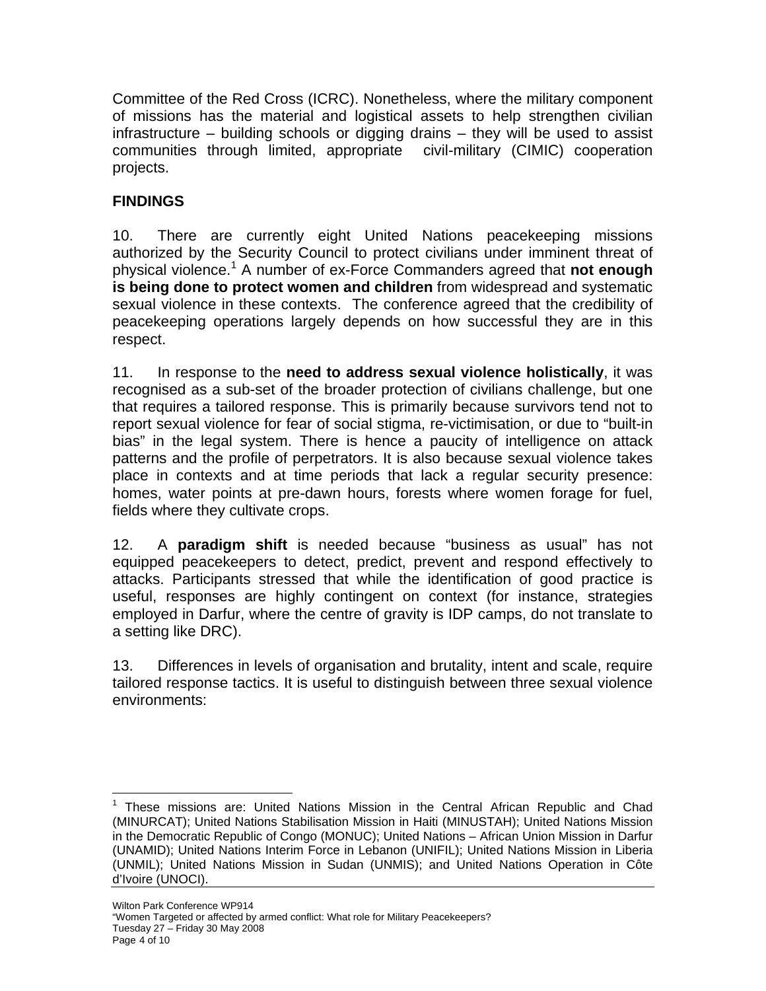Committee of the Red Cross (ICRC). Nonetheless, where the military component of missions has the material and logistical assets to help strengthen civilian infrastructure – building schools or digging drains – they will be used to assist communities through limited, appropriate civil-military (CIMIC) cooperation projects.

# **FINDINGS**

10. There are currently eight United Nations peacekeeping missions authorized by the Security Council to protect civilians under imminent threat of physical violence.<sup>[1](#page-3-0)</sup> A number of ex-Force Commanders agreed that not enough **is being done to protect women and children** from widespread and systematic sexual violence in these contexts. The conference agreed that the credibility of peacekeeping operations largely depends on how successful they are in this respect.

11. In response to the **need to address sexual violence holistically**, it was recognised as a sub-set of the broader protection of civilians challenge, but one that requires a tailored response. This is primarily because survivors tend not to report sexual violence for fear of social stigma, re-victimisation, or due to "built-in bias" in the legal system. There is hence a paucity of intelligence on attack patterns and the profile of perpetrators. It is also because sexual violence takes place in contexts and at time periods that lack a regular security presence: homes, water points at pre-dawn hours, forests where women forage for fuel, fields where they cultivate crops.

12. A **paradigm shift** is needed because "business as usual" has not equipped peacekeepers to detect, predict, prevent and respond effectively to attacks. Participants stressed that while the identification of good practice is useful, responses are highly contingent on context (for instance, strategies employed in Darfur, where the centre of gravity is IDP camps, do not translate to a setting like DRC).

13. Differences in levels of organisation and brutality, intent and scale, require tailored response tactics. It is useful to distinguish between three sexual violence environments:

<span id="page-3-0"></span> $\overline{a}$ <sup>1</sup> These missions are: United Nations Mission in the Central African Republic and Chad (MINURCAT); United Nations Stabilisation Mission in Haiti (MINUSTAH); United Nations Mission in the Democratic Republic of Congo (MONUC); United Nations – African Union Mission in Darfur (UNAMID); United Nations Interim Force in Lebanon (UNIFIL); United Nations Mission in Liberia (UNMIL); United Nations Mission in Sudan (UNMIS); and United Nations Operation in Côte d'Ivoire (UNOCI).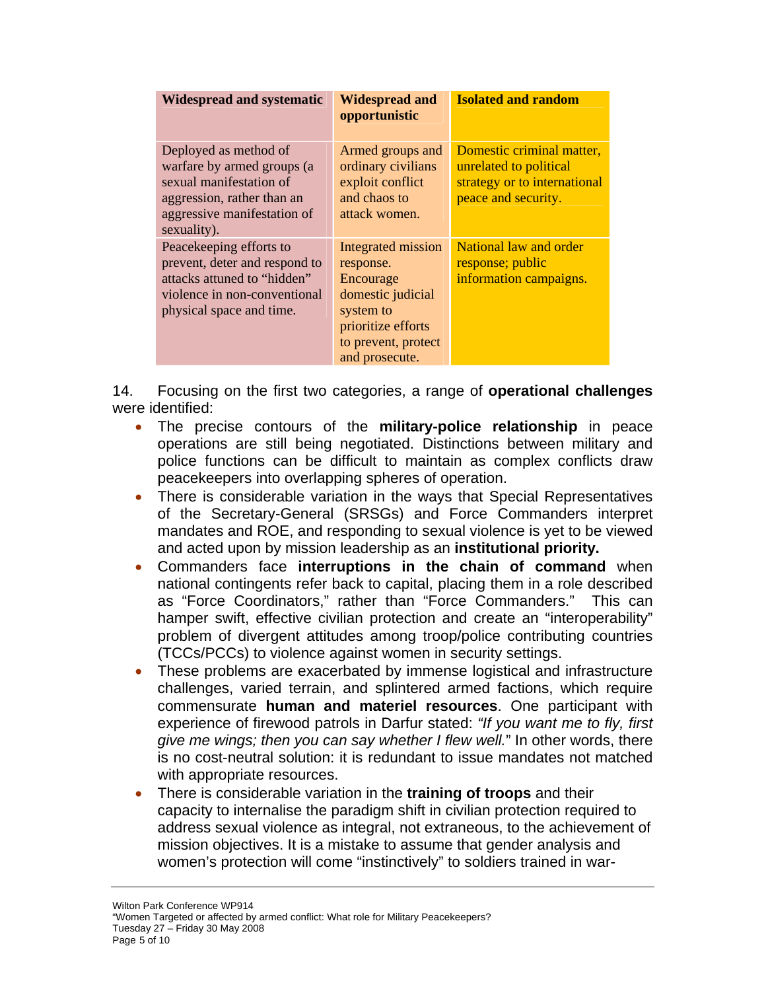| <b>Widespread and systematic</b>                                                                                                                           | <b>Widespread and</b><br>opportunistic                                                                                                        | <b>Isolated and random</b>                                                                                 |
|------------------------------------------------------------------------------------------------------------------------------------------------------------|-----------------------------------------------------------------------------------------------------------------------------------------------|------------------------------------------------------------------------------------------------------------|
| Deployed as method of<br>warfare by armed groups (a<br>sexual manifestation of<br>aggression, rather than an<br>aggressive manifestation of<br>sexuality). | Armed groups and<br>ordinary civilians<br>exploit conflict<br>and chaos to<br>attack women.                                                   | Domestic criminal matter,<br>unrelated to political<br>strategy or to international<br>peace and security. |
| Peace keeping efforts to<br>prevent, deter and respond to<br>attacks attuned to "hidden"<br>violence in non-conventional<br>physical space and time.       | Integrated mission<br>response.<br>Encourage<br>domestic judicial<br>system to<br>prioritize efforts<br>to prevent, protect<br>and prosecute. | National law and order<br>response; public<br>information campaigns.                                       |

14. Focusing on the first two categories, a range of **operational challenges** were identified:

- The precise contours of the **military-police relationship** in peace operations are still being negotiated. Distinctions between military and police functions can be difficult to maintain as complex conflicts draw peacekeepers into overlapping spheres of operation.
- There is considerable variation in the ways that Special Representatives of the Secretary-General (SRSGs) and Force Commanders interpret mandates and ROE, and responding to sexual violence is yet to be viewed and acted upon by mission leadership as an **institutional priority.**
- Commanders face **interruptions in the chain of command** when national contingents refer back to capital, placing them in a role described as "Force Coordinators," rather than "Force Commanders." This can hamper swift, effective civilian protection and create an "interoperability" problem of divergent attitudes among troop/police contributing countries (TCCs/PCCs) to violence against women in security settings.
- These problems are exacerbated by immense logistical and infrastructure challenges, varied terrain, and splintered armed factions, which require commensurate **human and materiel resources**. One participant with experience of firewood patrols in Darfur stated: *"If you want me to fly, first give me wings; then you can say whether I flew well.*" In other words, there is no cost-neutral solution: it is redundant to issue mandates not matched with appropriate resources.
- There is considerable variation in the **training of troops** and their capacity to internalise the paradigm shift in civilian protection required to address sexual violence as integral, not extraneous, to the achievement of mission objectives. It is a mistake to assume that gender analysis and women's protection will come "instinctively" to soldiers trained in war-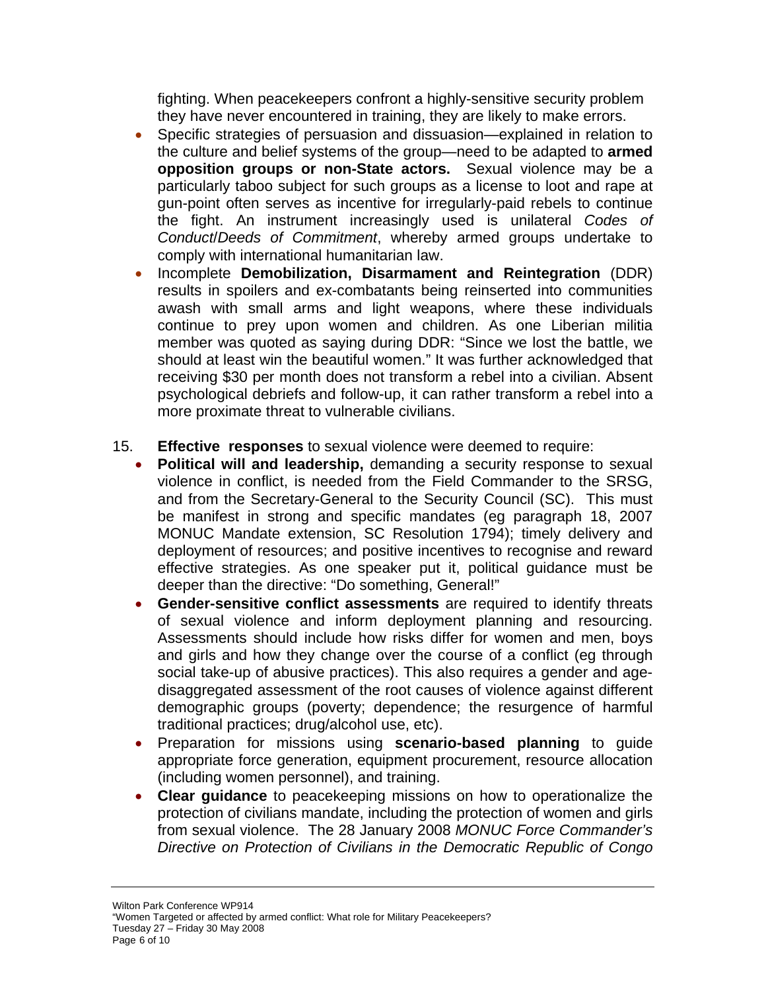fighting. When peacekeepers confront a highly-sensitive security problem they have never encountered in training, they are likely to make errors.

- Specific strategies of persuasion and dissuasion—explained in relation to the culture and belief systems of the group—need to be adapted to **armed opposition groups or non-State actors.** Sexual violence may be a particularly taboo subject for such groups as a license to loot and rape at gun-point often serves as incentive for irregularly-paid rebels to continue the fight. An instrument increasingly used is unilateral *Codes of Conduct*/*Deeds of Commitment*, whereby armed groups undertake to comply with international humanitarian law.
- Incomplete **Demobilization, Disarmament and Reintegration** (DDR) results in spoilers and ex-combatants being reinserted into communities awash with small arms and light weapons, where these individuals continue to prey upon women and children. As one Liberian militia member was quoted as saying during DDR: "Since we lost the battle, we should at least win the beautiful women." It was further acknowledged that receiving \$30 per month does not transform a rebel into a civilian. Absent psychological debriefs and follow-up, it can rather transform a rebel into a more proximate threat to vulnerable civilians.
- 15. **Effective responses** to sexual violence were deemed to require:
	- **Political will and leadership,** demanding a security response to sexual violence in conflict, is needed from the Field Commander to the SRSG, and from the Secretary-General to the Security Council (SC). This must be manifest in strong and specific mandates (eg paragraph 18, 2007 MONUC Mandate extension, SC Resolution 1794); timely delivery and deployment of resources; and positive incentives to recognise and reward effective strategies. As one speaker put it, political guidance must be deeper than the directive: "Do something, General!"
	- **Gender-sensitive conflict assessments** are required to identify threats of sexual violence and inform deployment planning and resourcing. Assessments should include how risks differ for women and men, boys and girls and how they change over the course of a conflict (eg through social take-up of abusive practices). This also requires a gender and agedisaggregated assessment of the root causes of violence against different demographic groups (poverty; dependence; the resurgence of harmful traditional practices; drug/alcohol use, etc).
	- Preparation for missions using **scenario-based planning** to guide appropriate force generation, equipment procurement, resource allocation (including women personnel), and training.
	- **Clear guidance** to peacekeeping missions on how to operationalize the protection of civilians mandate, including the protection of women and girls from sexual violence. The 28 January 2008 *MONUC Force Commander's Directive on Protection of Civilians in the Democratic Republic of Congo*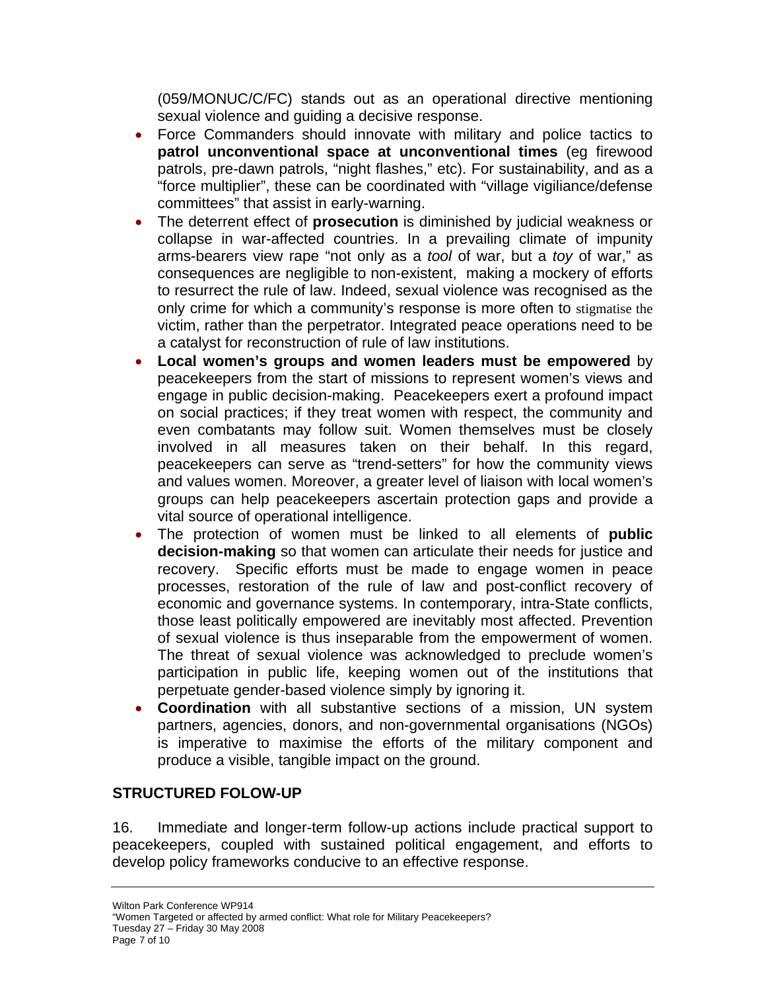(059/MONUC/C/FC) stands out as an operational directive mentioning sexual violence and guiding a decisive response.

- Force Commanders should innovate with military and police tactics to **patrol unconventional space at unconventional times** (eg firewood patrols, pre-dawn patrols, "night flashes," etc). For sustainability, and as a "force multiplier", these can be coordinated with "village vigiliance/defense committees" that assist in early-warning.
- The deterrent effect of **prosecution** is diminished by judicial weakness or collapse in war-affected countries. In a prevailing climate of impunity arms-bearers view rape "not only as a *tool* of war, but a *toy* of war," as consequences are negligible to non-existent, making a mockery of efforts to resurrect the rule of law. Indeed, sexual violence was recognised as the only crime for which a community's response is more often to stigmatise the victim, rather than the perpetrator. Integrated peace operations need to be a catalyst for reconstruction of rule of law institutions.
- **Local women's groups and women leaders must be empowered** by peacekeepers from the start of missions to represent women's views and engage in public decision-making. Peacekeepers exert a profound impact on social practices; if they treat women with respect, the community and even combatants may follow suit. Women themselves must be closely involved in all measures taken on their behalf. In this regard, peacekeepers can serve as "trend-setters" for how the community views and values women. Moreover, a greater level of liaison with local women's groups can help peacekeepers ascertain protection gaps and provide a vital source of operational intelligence.
- The protection of women must be linked to all elements of **public decision-making** so that women can articulate their needs for justice and recovery. Specific efforts must be made to engage women in peace processes, restoration of the rule of law and post-conflict recovery of economic and governance systems. In contemporary, intra-State conflicts, those least politically empowered are inevitably most affected. Prevention of sexual violence is thus inseparable from the empowerment of women. The threat of sexual violence was acknowledged to preclude women's participation in public life, keeping women out of the institutions that perpetuate gender-based violence simply by ignoring it.
- **Coordination** with all substantive sections of a mission, UN system partners, agencies, donors, and non-governmental organisations (NGOs) is imperative to maximise the efforts of the military component and produce a visible, tangible impact on the ground.

# **STRUCTURED FOLOW-UP**

16. Immediate and longer-term follow-up actions include practical support to peacekeepers, coupled with sustained political engagement, and efforts to develop policy frameworks conducive to an effective response.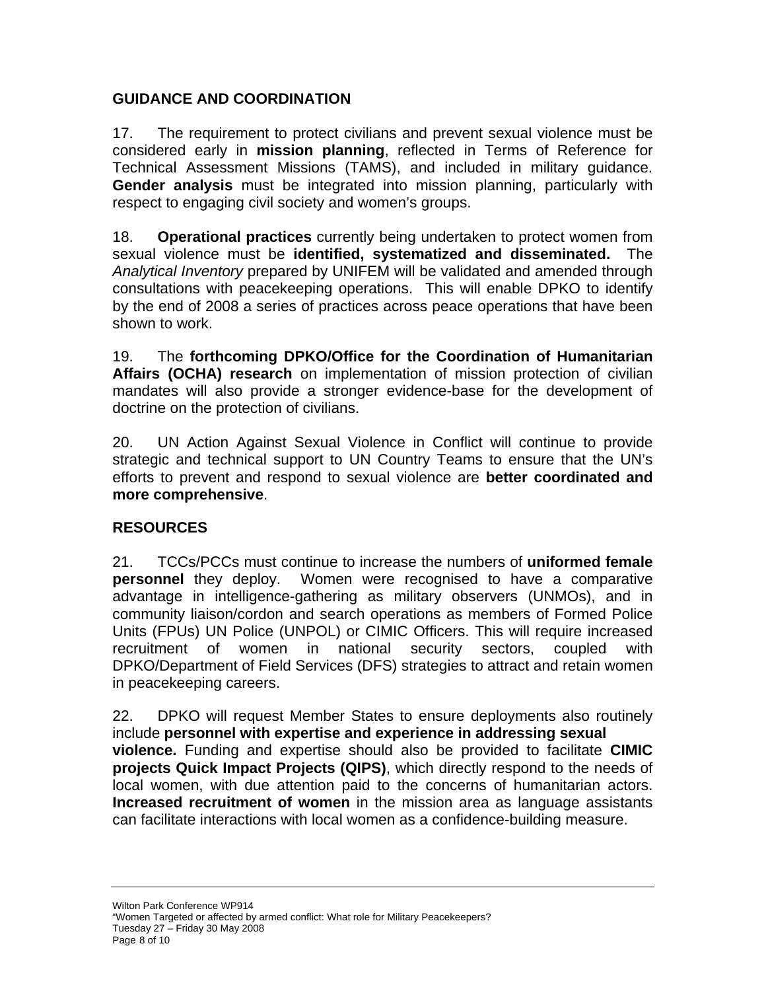### **GUIDANCE AND COORDINATION**

17. The requirement to protect civilians and prevent sexual violence must be considered early in **mission planning**, reflected in Terms of Reference for Technical Assessment Missions (TAMS), and included in military guidance. **Gender analysis** must be integrated into mission planning, particularly with respect to engaging civil society and women's groups.

18. **Operational practices** currently being undertaken to protect women from sexual violence must be **identified, systematized and disseminated.** The *Analytical Inventory* prepared by UNIFEM will be validated and amended through consultations with peacekeeping operations. This will enable DPKO to identify by the end of 2008 a series of practices across peace operations that have been shown to work.

19. The **forthcoming DPKO/Office for the Coordination of Humanitarian Affairs (OCHA) research** on implementation of mission protection of civilian mandates will also provide a stronger evidence-base for the development of doctrine on the protection of civilians.

20. UN Action Against Sexual Violence in Conflict will continue to provide strategic and technical support to UN Country Teams to ensure that the UN's efforts to prevent and respond to sexual violence are **better coordinated and more comprehensive**.

# **RESOURCES**

21. TCCs/PCCs must continue to increase the numbers of **uniformed female personnel** they deploy. Women were recognised to have a comparative advantage in intelligence-gathering as military observers (UNMOs), and in community liaison/cordon and search operations as members of Formed Police Units (FPUs) UN Police (UNPOL) or CIMIC Officers. This will require increased recruitment of women in national security sectors, coupled with DPKO/Department of Field Services (DFS) strategies to attract and retain women in peacekeeping careers.

22. DPKO will request Member States to ensure deployments also routinely include **personnel with expertise and experience in addressing sexual violence.** Funding and expertise should also be provided to facilitate **CIMIC projects Quick Impact Projects (QIPS)**, which directly respond to the needs of local women, with due attention paid to the concerns of humanitarian actors. **Increased recruitment of women** in the mission area as language assistants can facilitate interactions with local women as a confidence-building measure.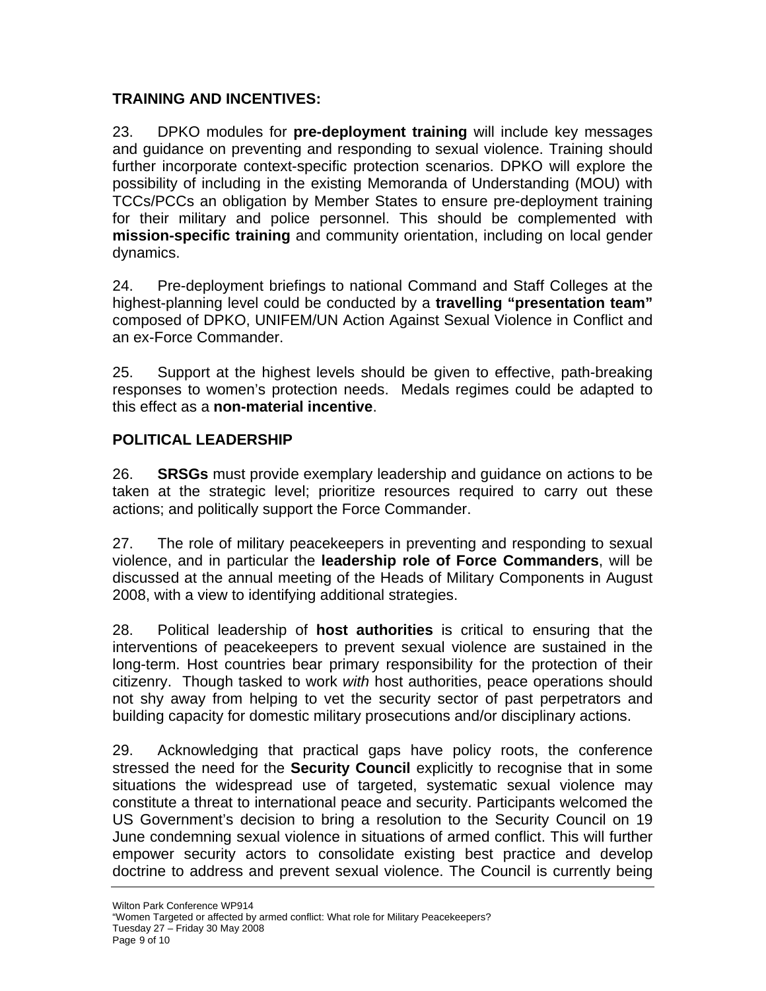### **TRAINING AND INCENTIVES:**

23. DPKO modules for **pre-deployment training** will include key messages and guidance on preventing and responding to sexual violence. Training should further incorporate context-specific protection scenarios. DPKO will explore the possibility of including in the existing Memoranda of Understanding (MOU) with TCCs/PCCs an obligation by Member States to ensure pre-deployment training for their military and police personnel. This should be complemented with **mission-specific training** and community orientation, including on local gender dynamics.

24. Pre-deployment briefings to national Command and Staff Colleges at the highest-planning level could be conducted by a **travelling "presentation team"** composed of DPKO, UNIFEM/UN Action Against Sexual Violence in Conflict and an ex-Force Commander.

25. Support at the highest levels should be given to effective, path-breaking responses to women's protection needs. Medals regimes could be adapted to this effect as a **non-material incentive**.

#### **POLITICAL LEADERSHIP**

26. **SRSGs** must provide exemplary leadership and guidance on actions to be taken at the strategic level; prioritize resources required to carry out these actions; and politically support the Force Commander.

27. The role of military peacekeepers in preventing and responding to sexual violence, and in particular the **leadership role of Force Commanders**, will be discussed at the annual meeting of the Heads of Military Components in August 2008, with a view to identifying additional strategies.

28. Political leadership of **host authorities** is critical to ensuring that the interventions of peacekeepers to prevent sexual violence are sustained in the long-term. Host countries bear primary responsibility for the protection of their citizenry. Though tasked to work *with* host authorities, peace operations should not shy away from helping to vet the security sector of past perpetrators and building capacity for domestic military prosecutions and/or disciplinary actions.

29. Acknowledging that practical gaps have policy roots, the conference stressed the need for the **Security Council** explicitly to recognise that in some situations the widespread use of targeted, systematic sexual violence may constitute a threat to international peace and security. Participants welcomed the US Government's decision to bring a resolution to the Security Council on 19 June condemning sexual violence in situations of armed conflict. This will further empower security actors to consolidate existing best practice and develop doctrine to address and prevent sexual violence. The Council is currently being